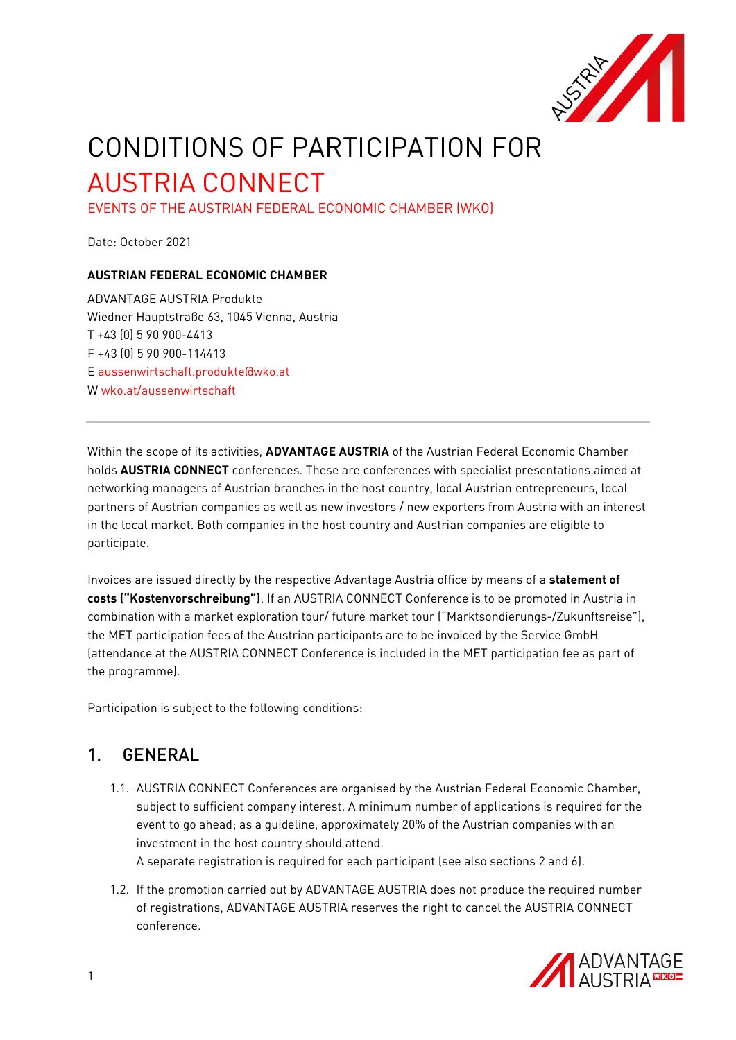

# CONDITIONS OF PARTICIPATION FOR AUSTRIA CONNECT

EVENTS OF THE AUSTRIAN FEDERAL ECONOMIC CHAMBER (WKO)

Date: October 2021

#### **AUSTRIAN FEDERAL ECONOMIC CHAMBER**

ADVANTAGE AUSTRIA Produkte Wiedner Hauptstraße 63, 1045 Vienna, Austria T +43 (0) 5 90 900-4413 F +43 (0) 5 90 900-114413 E [aussenwirtschaft.produkte@wko.at](mailto:aussenwirtschaft.produkte@wko.at) W [wko.at/aussenwirtschaft](http://wko.at/aussenwirtschaft)

Within the scope of its activities, **ADVANTAGE AUSTRIA** of the Austrian Federal Economic Chamber holds **AUSTRIA CONNECT** conferences. These are conferences with specialist presentations aimed at networking managers of Austrian branches in the host country, local Austrian entrepreneurs, local partners of Austrian companies as well as new investors / new exporters from Austria with an interest in the local market. Both companies in the host country and Austrian companies are eligible to participate.

Invoices are issued directly by the respective Advantage Austria office by means of a **statement of costs ("Kostenvorschreibung")**. If an AUSTRIA CONNECT Conference is to be promoted in Austria in combination with a market exploration tour/ future market tour ("Marktsondierungs-/Zukunftsreise"), the MET participation fees of the Austrian participants are to be invoiced by the Service GmbH (attendance at the AUSTRIA CONNECT Conference is included in the MET participation fee as part of the programme).

Participation is subject to the following conditions:

#### 1. GENERAL

- 1.1. AUSTRIA CONNECT Conferences are organised by the Austrian Federal Economic Chamber, subject to sufficient company interest. A minimum number of applications is required for the event to go ahead; as a guideline, approximately 20% of the Austrian companies with an investment in the host country should attend. A separate registration is required for each participant (see also sections 2 and 6).
- 1.2. If the promotion carried out by ADVANTAGE AUSTRIA does not produce the required number of registrations, ADVANTAGE AUSTRIA reserves the right to cancel the AUSTRIA CONNECT conference.

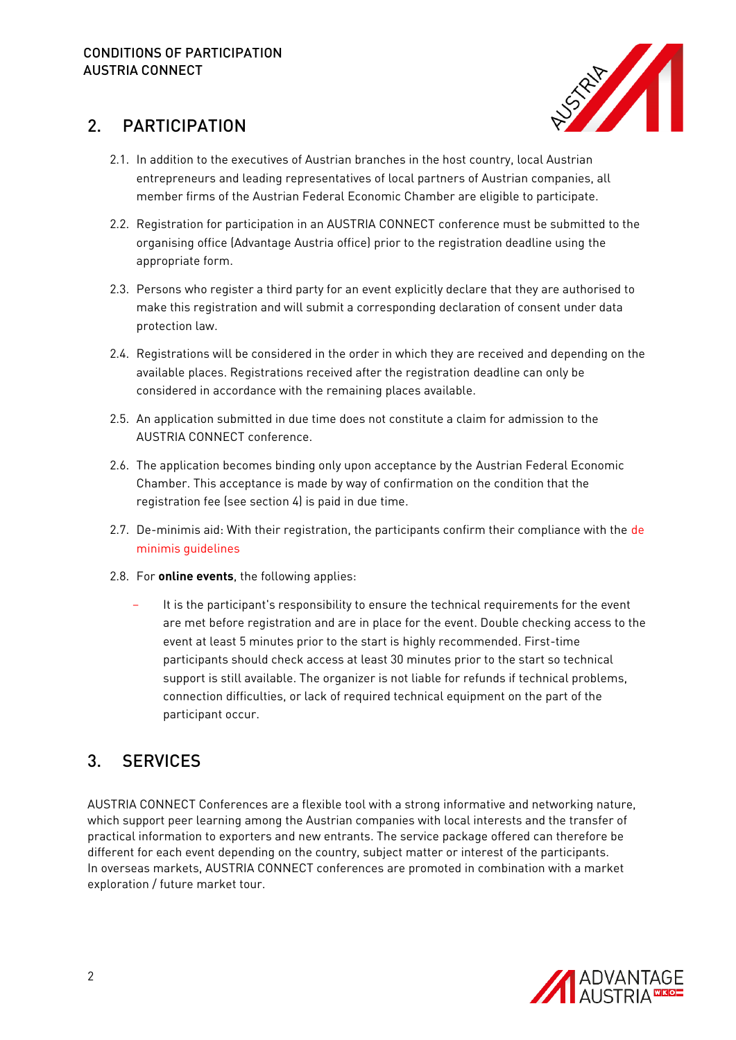

#### 2. PARTICIPATION

- 2.1. In addition to the executives of Austrian branches in the host country, local Austrian entrepreneurs and leading representatives of local partners of Austrian companies, all member firms of the Austrian Federal Economic Chamber are eligible to participate.
- 2.2. Registration for participation in an AUSTRIA CONNECT conference must be submitted to the organising office (Advantage Austria office) prior to the registration deadline using the appropriate form.
- 2.3. Persons who register a third party for an event explicitly declare that they are authorised to make this registration and will submit a corresponding declaration of consent under data protection law.
- 2.4. Registrations will be considered in the order in which they are received and depending on the available places. Registrations received after the registration deadline can only be considered in accordance with the remaining places available.
- 2.5. An application submitted in due time does not constitute a claim for admission to the AUSTRIA CONNECT conference.
- 2.6. The application becomes binding only upon acceptance by the Austrian Federal Economic Chamber. This acceptance is made by way of confirmation on the condition that the registration fee (see section 4) is paid in due time.
- 2.7. De-minimis aid: With their registration, the participants confirm their compliance with the de [minimis guidelines](http://eur-lex.europa.eu/legal-content/EN/TXT/PDF/?uri=CELEX:32013R1407&from=EN)
- 2.8. For **online events**, the following applies:
	- It is the participant's responsibility to ensure the technical requirements for the event are met before registration and are in place for the event. Double checking access to the event at least 5 minutes prior to the start is highly recommended. First-time participants should check access at least 30 minutes prior to the start so technical support is still available. The organizer is not liable for refunds if technical problems, connection difficulties, or lack of required technical equipment on the part of the participant occur.

## 3. SERVICES

AUSTRIA CONNECT Conferences are a flexible tool with a strong informative and networking nature, which support peer learning among the Austrian companies with local interests and the transfer of practical information to exporters and new entrants. The service package offered can therefore be different for each event depending on the country, subject matter or interest of the participants. In overseas markets, AUSTRIA CONNECT conferences are promoted in combination with a market exploration / future market tour.

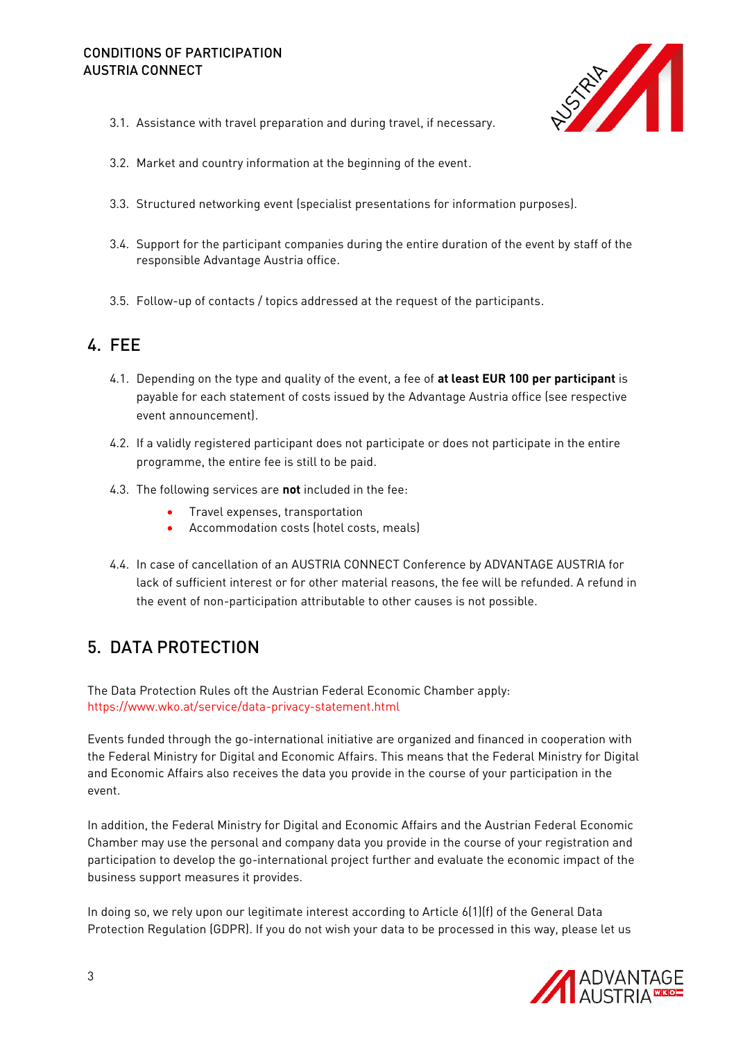#### CONDITIONS OF PARTICIPATION AUSTRIA CONNECT



- 3.1. Assistance with travel preparation and during travel, if necessary.
- 3.2. Market and country information at the beginning of the event.
- 3.3. Structured networking event (specialist presentations for information purposes).
- 3.4. Support for the participant companies during the entire duration of the event by staff of the responsible Advantage Austria office.
- 3.5. Follow-up of contacts / topics addressed at the request of the participants.

#### 4. FEE

- 4.1. Depending on the type and quality of the event, a fee of **at least EUR 100 per participant** is payable for each statement of costs issued by the Advantage Austria office (see respective event announcement).
- 4.2. If a validly registered participant does not participate or does not participate in the entire programme, the entire fee is still to be paid.
- 4.3. The following services are **not** included in the fee:
	- Travel expenses, transportation
	- Accommodation costs (hotel costs, meals)
- 4.4. In case of cancellation of an AUSTRIA CONNECT Conference by ADVANTAGE AUSTRIA for lack of sufficient interest or for other material reasons, the fee will be refunded. A refund in the event of non-participation attributable to other causes is not possible.

#### 5. DATA PROTECTION

The Data Protection Rules oft the Austrian Federal Economic Chamber apply: <https://www.wko.at/service/data-privacy-statement.html>

Events funded through the go-international initiative are organized and financed in cooperation with the Federal Ministry for Digital and Economic Affairs. This means that the Federal Ministry for Digital and Economic Affairs also receives the data you provide in the course of your participation in the event.

In addition, the Federal Ministry for Digital and Economic Affairs and the Austrian Federal Economic Chamber may use the personal and company data you provide in the course of your registration and participation to develop the go-international project further and evaluate the economic impact of the business support measures it provides.

In doing so, we rely upon our legitimate interest according to Article 6(1)(f) of the General Data Protection Regulation (GDPR). If you do not wish your data to be processed in this way, please let us

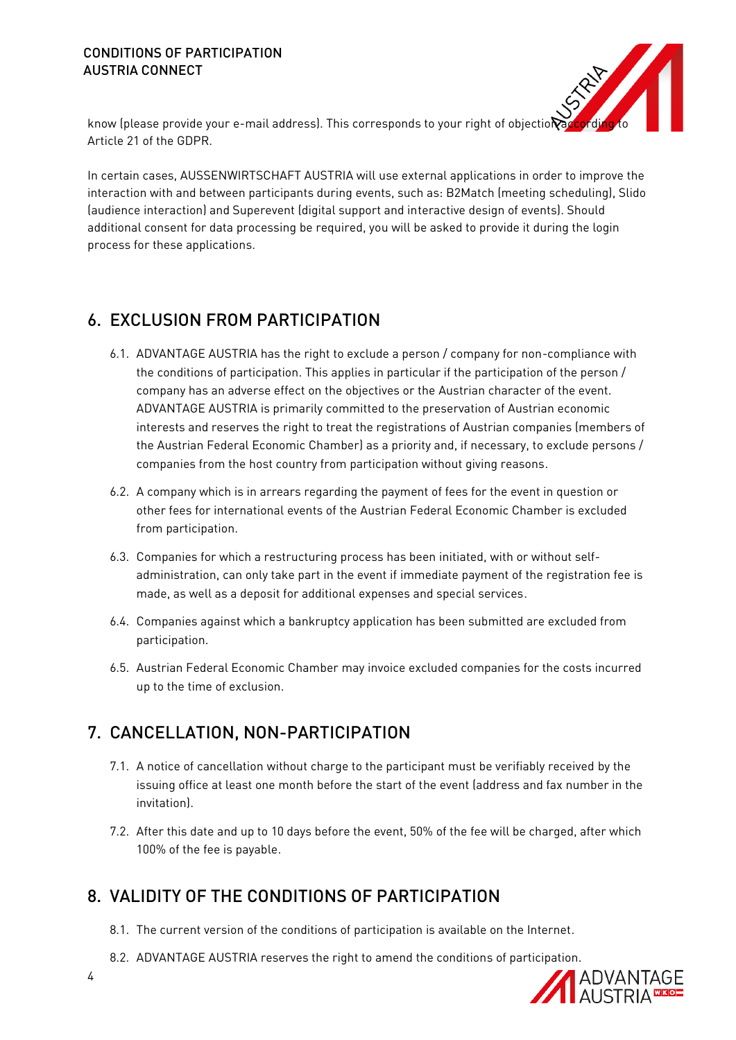#### CONDITIONS OF PARTICIPATION AUSTRIA CONNECT



know (please provide your e-mail address). This corresponds to your right of objection Article 21 of the GDPR.

In certain cases, AUSSENWIRTSCHAFT AUSTRIA will use external applications in order to improve the interaction with and between participants during events, such as: B2Match (meeting scheduling), Slido (audience interaction) and Superevent (digital support and interactive design of events). Should additional consent for data processing be required, you will be asked to provide it during the login process for these applications.

## 6. EXCLUSION FROM PARTICIPATION

- 6.1. ADVANTAGE AUSTRIA has the right to exclude a person / company for non-compliance with the conditions of participation. This applies in particular if the participation of the person / company has an adverse effect on the objectives or the Austrian character of the event. ADVANTAGE AUSTRIA is primarily committed to the preservation of Austrian economic interests and reserves the right to treat the registrations of Austrian companies (members of the Austrian Federal Economic Chamber) as a priority and, if necessary, to exclude persons / companies from the host country from participation without giving reasons.
- 6.2. A company which is in arrears regarding the payment of fees for the event in question or other fees for international events of the Austrian Federal Economic Chamber is excluded from participation.
- 6.3. Companies for which a restructuring process has been initiated, with or without selfadministration, can only take part in the event if immediate payment of the registration fee is made, as well as a deposit for additional expenses and special services.
- 6.4. Companies against which a bankruptcy application has been submitted are excluded from participation.
- 6.5. Austrian Federal Economic Chamber may invoice excluded companies for the costs incurred up to the time of exclusion.

## 7. CANCELLATION, NON-PARTICIPATION

- 7.1. A notice of cancellation without charge to the participant must be verifiably received by the issuing office at least one month before the start of the event (address and fax number in the invitation).
- 7.2. After this date and up to 10 days before the event, 50% of the fee will be charged, after which 100% of the fee is payable.

## 8. VALIDITY OF THE CONDITIONS OF PARTICIPATION

- 8.1. The current version of the conditions of participation is available on the Internet.
- 8.2. ADVANTAGE AUSTRIA reserves the right to amend the conditions of participation.